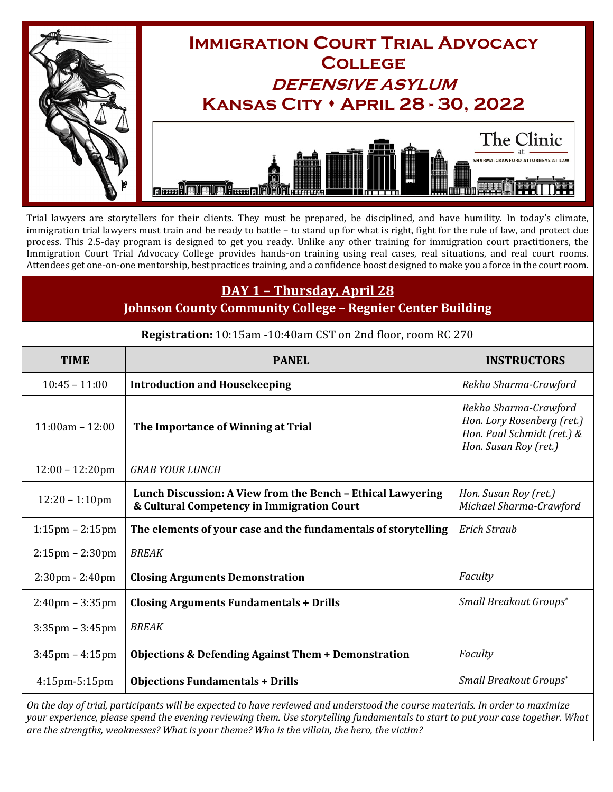

Trial lawyers are storytellers for their clients. They must be prepared, be disciplined, and have humility. In today's climate, immigration trial lawyers must train and be ready to battle – to stand up for what is right, fight for the rule of law, and protect due process. This 2.5-day program is designed to get you ready. Unlike any other training for immigration court practitioners, the Immigration Court Trial Advocacy College provides hands-on training using real cases, real situations, and real court rooms. Attendees get one-on-one mentorship, best practices training, and a confidence boost designed to make you a force in the court room.

## **DAY 1 – Thursday, April 28**

**Johnson County Community College – Regnier Center Building**

| Registration: 10:15am -10:40am CST on 2nd floor, room RC 270 |  |
|--------------------------------------------------------------|--|
|--------------------------------------------------------------|--|

| <b>TIME</b>                       | <b>PANEL</b>                                                                                              | <b>INSTRUCTORS</b>                                                                                         |  |
|-----------------------------------|-----------------------------------------------------------------------------------------------------------|------------------------------------------------------------------------------------------------------------|--|
| $10:45 - 11:00$                   | <b>Introduction and Housekeeping</b>                                                                      | Rekha Sharma-Crawford                                                                                      |  |
| $11:00am - 12:00$                 | The Importance of Winning at Trial                                                                        | Rekha Sharma-Crawford<br>Hon. Lory Rosenberg (ret.)<br>Hon. Paul Schmidt (ret.) &<br>Hon. Susan Roy (ret.) |  |
| $12:00 - 12:20$ pm                | <b>GRAB YOUR LUNCH</b>                                                                                    |                                                                                                            |  |
| $12:20 - 1:10$ pm                 | Lunch Discussion: A View from the Bench - Ethical Lawyering<br>& Cultural Competency in Immigration Court | Hon. Susan Roy (ret.)<br>Michael Sharma-Crawford                                                           |  |
| $1:15$ pm – $2:15$ pm             | The elements of your case and the fundamentals of storytelling                                            | <b>Erich Straub</b>                                                                                        |  |
| $2:15$ pm – $2:30$ pm             | <b>BREAK</b>                                                                                              |                                                                                                            |  |
| $2:30 \text{pm} - 2:40 \text{pm}$ | <b>Closing Arguments Demonstration</b>                                                                    | Faculty                                                                                                    |  |
| $2:40$ pm – $3:35$ pm             | <b>Closing Arguments Fundamentals + Drills</b>                                                            | Small Breakout Groups*                                                                                     |  |
| $3:35$ pm – $3:45$ pm             | <b>BREAK</b>                                                                                              |                                                                                                            |  |
| $3:45$ pm – $4:15$ pm             | <b>Objections &amp; Defending Against Them + Demonstration</b>                                            | Faculty                                                                                                    |  |
| $4:15$ pm $-5:15$ pm              | <b>Objections Fundamentals + Drills</b>                                                                   | Small Breakout Groups*                                                                                     |  |

*On the day of trial, participants will be expected to have reviewed and understood the course materials. In order to maximize your experience, please spend the evening reviewing them. Use storytelling fundamentals to start to put your case together. What are the strengths, weaknesses? What is your theme? Who is the villain, the hero, the victim?*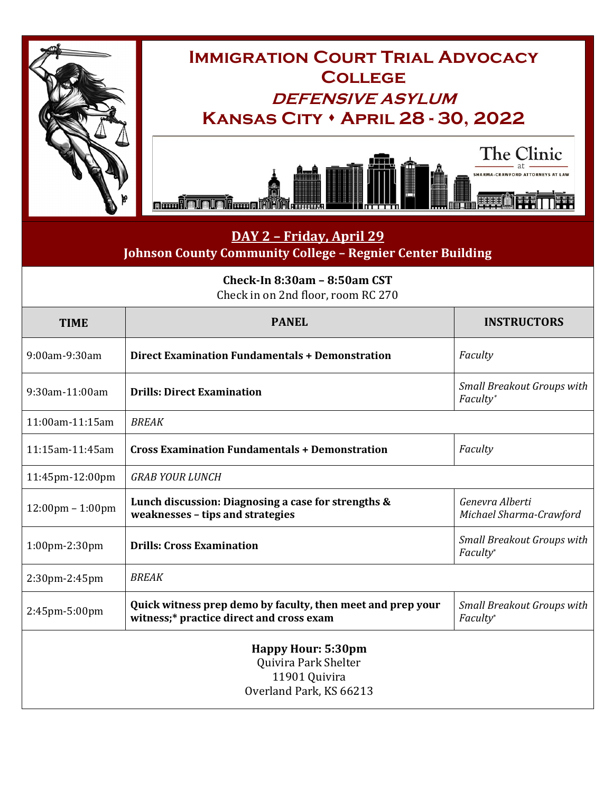





## **DAY 2 – Friday, April 29 Johnson County Community College – Regnier Center Building**

| Check-In 8:30am - 8:50am CST<br>Check in on 2nd floor, room RC 270                            |                                                                                                         |                                               |  |
|-----------------------------------------------------------------------------------------------|---------------------------------------------------------------------------------------------------------|-----------------------------------------------|--|
| <b>TIME</b>                                                                                   | <b>PANEL</b>                                                                                            | <b>INSTRUCTORS</b>                            |  |
| 9:00am-9:30am                                                                                 | <b>Direct Examination Fundamentals + Demonstration</b>                                                  | Faculty                                       |  |
| 9:30am-11:00am                                                                                | <b>Drills: Direct Examination</b>                                                                       | <b>Small Breakout Groups with</b><br>Faculty* |  |
| 11:00am-11:15am                                                                               | <b>BREAK</b>                                                                                            |                                               |  |
| 11:15am-11:45am                                                                               | <b>Cross Examination Fundamentals + Demonstration</b>                                                   | Faculty                                       |  |
| 11:45pm-12:00pm                                                                               | <b>GRAB YOUR LUNCH</b>                                                                                  |                                               |  |
| $12:00 \text{pm} - 1:00 \text{pm}$                                                            | Lunch discussion: Diagnosing a case for strengths &<br>weaknesses - tips and strategies                 | Genevra Alberti<br>Michael Sharma-Crawford    |  |
| $1:00$ pm $-2:30$ pm                                                                          | <b>Drills: Cross Examination</b>                                                                        | <b>Small Breakout Groups with</b><br>Faculty* |  |
| 2:30pm-2:45pm                                                                                 | <b>BREAK</b>                                                                                            |                                               |  |
| 2:45pm-5:00pm                                                                                 | Quick witness prep demo by faculty, then meet and prep your<br>witness;* practice direct and cross exam | <b>Small Breakout Groups with</b><br>Faculty* |  |
| <b>Happy Hour: 5:30pm</b><br>Quivira Park Shelter<br>11901 Quivira<br>Overland Park, KS 66213 |                                                                                                         |                                               |  |